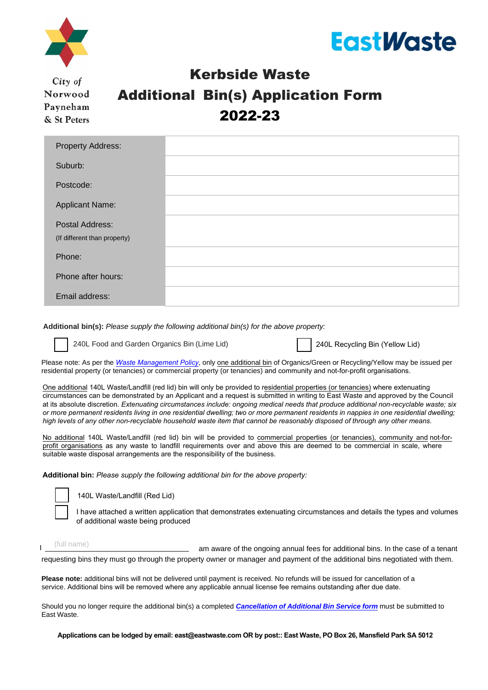



City of Norwood Payneham & St Peters

# Kerbside Waste Additional Bin(s) Application Form 2022-23

| <b>Property Address:</b>     |  |
|------------------------------|--|
| Suburb:                      |  |
| Postcode:                    |  |
| <b>Applicant Name:</b>       |  |
| Postal Address:              |  |
| (If different than property) |  |
| Phone:                       |  |
| Phone after hours:           |  |
| Email address:               |  |

**Additional bin(s):** *Please supply the following additional bin(s) for the above property:*

240L Food and Garden Organics Bin (Lime Lid)

240L Recycling Bin (Yellow Lid)

Please note: As per the *[Waste Management Policy](https://www.npsp.sa.gov.au/files/12273_governance_waste_management_policy.pdf?v=485)*, only one additional bin of Organics/Green or Recycling/Yellow may be issued per residential property (or tenancies) or commercial property (or tenancies) and community and not-for-profit organisations.

One additional 140L Waste/Landfill (red lid) bin will only be provided to residential properties (or tenancies) where extenuating circumstances can be demonstrated by an Applicant and a request is submitted in writing to East Waste and approved by the Council at its absolute discretion. *Extenuating circumstances include: ongoing medical needs that produce additional non-recyclable waste; six or more permanent residents living in one residential dwelling; two or more permanent residents in nappies in one residential dwelling; high levels of any other non-recyclable household waste item that cannot be reasonably disposed of through any other means.*

No additional 140L Waste/Landfill (red lid) bin will be provided to commercial properties (or tenancies), community and not-forprofit organisations as any waste to landfill requirements over and above this are deemed to be commercial in scale, where suitable waste disposal arrangements are the responsibility of the business.

**Additional bin:** *Please supply the following additional bin for the above property:*

140L Waste/Landfill (Red Lid)

I have attached a written application that demonstrates extenuating circumstances and details the types and volumes of additional waste being produced

| (full name) | am aware of the ongoing annual fees for additional bins. In the case of a tenant                                            |
|-------------|-----------------------------------------------------------------------------------------------------------------------------|
|             | requesting bins they must go through the property owner or manager and payment of the additional bins negotiated with them. |

**Please note:** additional bins will not be delivered until payment is received. No refunds will be issued for cancellation of a service. Additional bins will be removed where any applicable annual license fee remains outstanding after due date.

Should you no longer require the additional bin(s) a completed *[Cancellation of Additional Bin Service form](https://www.eastwaste.com.au/wp-content/uploads/2022/06/Transfer-of-Cancellation-of-Additional-Bins-NPSP-2022.pdf)* must be submitted to East Waste.

**Applications can be lodged by email: [east@eastwaste.com](mailto:east@eastwaste.com) OR by post:: East Waste, PO Box 26, Mansfield Park SA 5012**